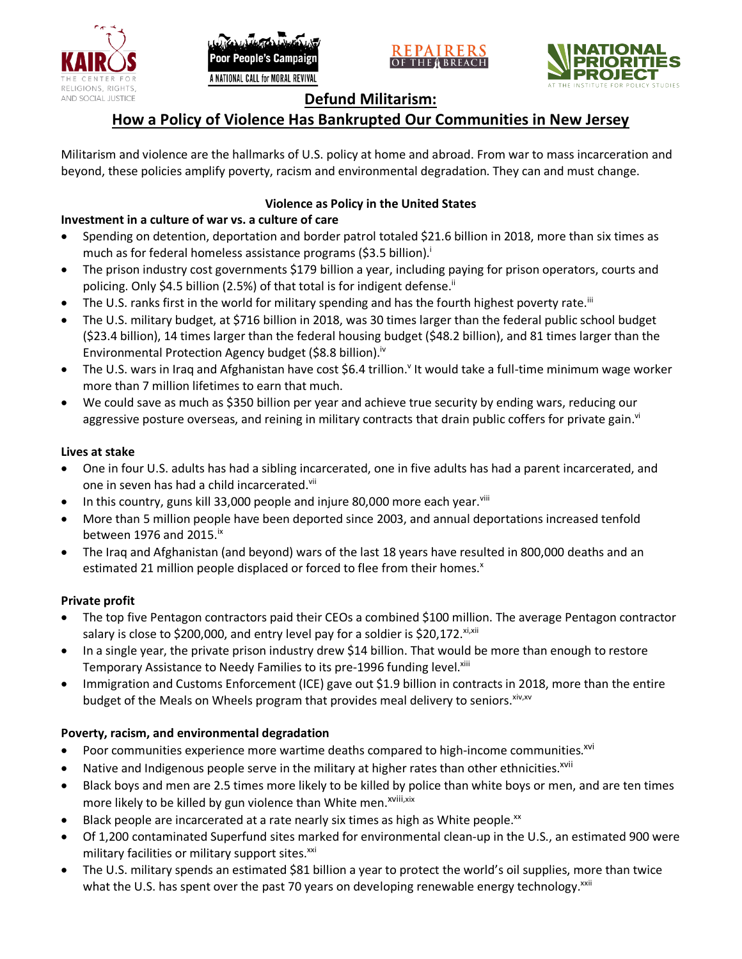





# **Defund Militarism:**

# **How a Policy of Violence Has Bankrupted Our Communities in New Jersey**

Militarism and violence are the hallmarks of U.S. policy at home and abroad. From war to mass incarceration and beyond, these policies amplify poverty, racism and environmental degradation. They can and must change.

## **Violence as Policy in the United States**

## **Investment in a culture of war vs. a culture of care**

- Spending on detention, deportation and border patrol totaled \$21.6 billion in 2018, more than six times as much as for federal homeless assistance programs (\$3.5 billion).<sup>i</sup>
- The prison industry cost governments \$179 billion a year, including paying for prison operators, courts and policing. Only \$4.5 billion (2.5%) of that total is for indigent defense.<sup>ii</sup>
- The U.S. ranks first in the world for military spending and has the fourth highest poverty rate.<sup>iii</sup>
- The U.S. military budget, at \$716 billion in 2018, was 30 times larger than the federal public school budget (\$23.4 billion), 14 times larger than the federal housing budget (\$48.2 billion), and 81 times larger than the Environmental Protection Agency budget (\$8.8 billion).<sup>iv</sup>
- The U.S. wars in Iraq and Afghanistan have cost \$6.4 trillion.<sup>v</sup> It would take a full-time minimum wage worker more than 7 million lifetimes to earn that much.
- We could save as much as \$350 billion per year and achieve true security by ending wars, reducing our aggressive posture overseas, and reining in military contracts that drain public coffers for private gain.<sup>vi</sup>

### **Lives at stake**

- One in four U.S. adults has had a sibling incarcerated, one in five adults has had a parent incarcerated, and one in seven has had a child incarcerated.vii
- In this country, guns kill 33,000 people and injure 80,000 more each year. $v_{\text{lin}}$
- More than 5 million people have been deported since 2003, and annual deportations increased tenfold between 1976 and 2015. $\mathrm{i}$ <sup>x</sup>
- The Iraq and Afghanistan (and beyond) wars of the last 18 years have resulted in 800,000 deaths and an estimated 21 million people displaced or forced to flee from their homes.<sup>x</sup>

### **Private profit**

- The top five Pentagon contractors paid their CEOs a combined \$100 million. The average Pentagon contractor salary is close to \$200,000, and entry level pay for a soldier is \$20,172. xi,xii
- In a single year, the private prison industry drew \$14 billion. That would be more than enough to restore Temporary Assistance to Needy Families to its pre-1996 funding level.<sup>xiii</sup>
- Immigration and Customs Enforcement (ICE) gave out \$1.9 billion in contracts in 2018, more than the entire budget of the Meals on Wheels program that provides meal delivery to seniors. Xiv, XV

### **Poverty, racism, and environmental degradation**

- Poor communities experience more wartime deaths compared to high-income communities.<sup>xvi</sup>
- Native and Indigenous people serve in the military at higher rates than other ethnicities.<sup>xvii</sup>
- Black boys and men are 2.5 times more likely to be killed by police than white boys or men, and are ten times more likely to be killed by gun violence than White men.<sup>xviii,xix</sup>
- Black people are incarcerated at a rate nearly six times as high as White people.<sup>xx</sup>
- Of 1,200 contaminated Superfund sites marked for environmental clean-up in the U.S., an estimated 900 were military facilities or military support sites.<sup>xxi</sup>
- The U.S. military spends an estimated \$81 billion a year to protect the world's oil supplies, more than twice what the U.S. has spent over the past 70 years on developing renewable energy technology.<sup>xxii</sup>